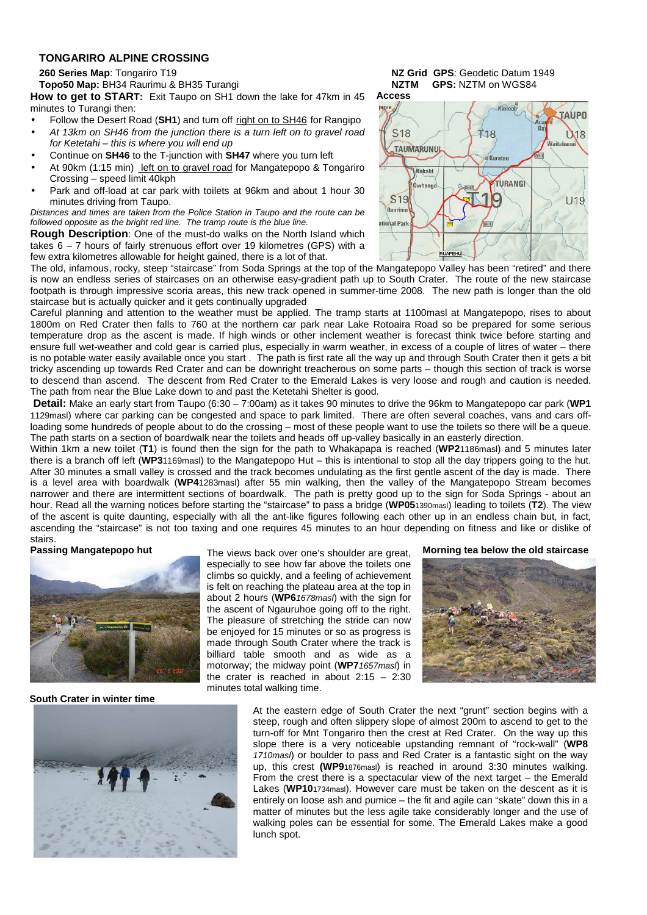#### **TONGARIRO ALPINE CROSSING**

**Topo50 Map:** BH34 Raurimu & BH35 Turangi **NZTM GPS:** NZTM on WGS84

**How to get to START:** Exit Taupo on SH1 down the lake for 47km in 45 minutes to Turangi then:

- Follow the Desert Road (SH1) and turn off right on to SH46 for Rangipo
- At 13km on SH46 from the junction there is a turn left on to gravel road for Ketetahi – this is where you will end up
- Continue on **SH46** to the T-junction with **SH47** where you turn left
- At 90km (1:15 min) left on to gravel road for Mangatepopo & Tongariro Crossing – speed limit 40kph
- Park and off-load at car park with toilets at 96km and about 1 hour 30 minutes driving from Taupo.

Distances and times are taken from the Police Station in Taupo and the route can be followed opposite as the bright red line. The tramp route is the blue line.

**Rough Description**: One of the must-do walks on the North Island which takes 6 – 7 hours of fairly strenuous effort over 19 kilometres (GPS) with a few extra kilometres allowable for height gained, there is a lot of that.





The old, infamous, rocky, steep "staircase" from Soda Springs at the top of the Mangatepopo Valley has been "retired" and there is now an endless series of staircases on an otherwise easy-gradient path up to South Crater. The route of the new staircase footpath is through impressive scoria areas, this new track opened in summer-time 2008. The new path is longer than the old staircase but is actually quicker and it gets continually upgraded

Careful planning and attention to the weather must be applied. The tramp starts at 1100masl at Mangatepopo, rises to about 1800m on Red Crater then falls to 760 at the northern car park near Lake Rotoaira Road so be prepared for some serious temperature drop as the ascent is made. If high winds or other inclement weather is forecast think twice before starting and ensure full wet-weather and cold gear is carried plus, especially in warm weather, in excess of a couple of litres of water – there is no potable water easily available once you start . The path is first rate all the way up and through South Crater then it gets a bit tricky ascending up towards Red Crater and can be downright treacherous on some parts – though this section of track is worse to descend than ascend. The descent from Red Crater to the Emerald Lakes is very loose and rough and caution is needed. The path from near the Blue Lake down to and past the Ketetahi Shelter is good.

 **Detail:** Make an early start from Taupo (6:30 – 7:00am) as it takes 90 minutes to drive the 96km to Mangatepopo car park (**WP1** 1129masl) where car parking can be congested and space to park limited. There are often several coaches, vans and cars offloading some hundreds of people about to do the crossing – most of these people want to use the toilets so there will be a queue. The path starts on a section of boardwalk near the toilets and heads off up-valley basically in an easterly direction.

Within 1km a new toilet (**T1**) is found then the sign for the path to Whakapapa is reached (**WP2**1186masl) and 5 minutes later there is a branch off left (**WP3**1169masl) to the Mangatepopo Hut – this is intentional to stop all the day trippers going to the hut. After 30 minutes a small valley is crossed and the track becomes undulating as the first gentle ascent of the day is made. There is a level area with boardwalk (**WP4**1283masl) after 55 min walking, then the valley of the Mangatepopo Stream becomes narrower and there are intermittent sections of boardwalk. The path is pretty good up to the sign for Soda Springs - about an hour. Read all the warning notices before starting the "staircase" to pass a bridge (**WP05**1390masl) leading to toilets (**T2**). The view of the ascent is quite daunting, especially with all the ant-like figures following each other up in an endless chain but, in fact, ascending the "staircase" is not too taxing and one requires 45 minutes to an hour depending on fitness and like or dislike of

# stairs.<br>Passing Mangatepopo hut



The views back over one's shoulder are great, especially to see how far above the toilets one climbs so quickly, and a feeling of achievement is felt on reaching the plateau area at the top in about 2 hours (**WP6**1678masl) with the sign for the ascent of Ngauruhoe going off to the right. The pleasure of stretching the stride can now be enjoyed for 15 minutes or so as progress is made through South Crater where the track is billiard table smooth and as wide as a motorway; the midway point (**WP7**1657masl) in the crater is reached in about  $2:15 - 2:30$ minutes total walking time.

**Morning tea below the old staircase**



**South Crater in winter time**



At the eastern edge of South Crater the next "grunt" section begins with a steep, rough and often slippery slope of almost 200m to ascend to get to the turn-off for Mnt Tongariro then the crest at Red Crater. On the way up this slope there is a very noticeable upstanding remnant of "rock-wall" (**WP8** 1710mas) or boulder to pass and Red Crater is a fantastic sight on the way up, this crest **(WP9**1876masl) is reached in around 3:30 minutes walking. From the crest there is a spectacular view of the next target – the Emerald Lakes (**WP10**1734masl). However care must be taken on the descent as it is entirely on loose ash and pumice – the fit and agile can "skate" down this in a matter of minutes but the less agile take considerably longer and the use of walking poles can be essential for some. The Emerald Lakes make a good lunch spot.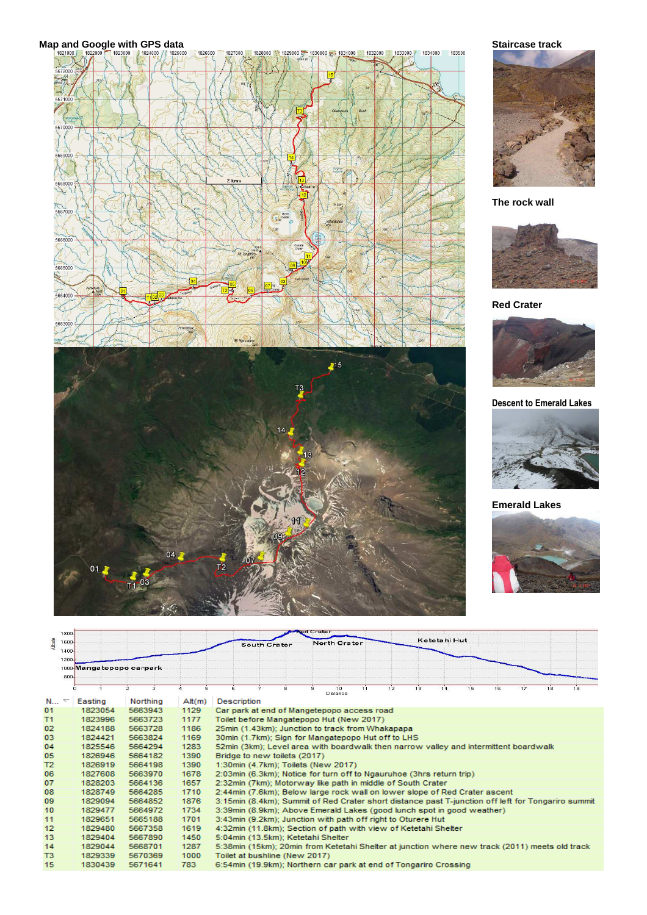



### **The rock wall**



## **Red Crater**



**Descent to Emerald Lakes** 



### **Emerald Lakes**



| <b>Red Crater</b><br>1800 |                          |                          |                    |       |                                                                                                    |  |  |   |                                                                  |                |    |    |    |              |    |    |    |    |    |  |
|---------------------------|--------------------------|--------------------------|--------------------|-------|----------------------------------------------------------------------------------------------------|--|--|---|------------------------------------------------------------------|----------------|----|----|----|--------------|----|----|----|----|----|--|
| Atitude                   | 1600                     |                          |                    |       | <b>North Crater</b><br><b>South Crater</b>                                                         |  |  |   |                                                                  |                |    |    |    | Ketetahi Hut |    |    |    |    |    |  |
|                           | 1400                     |                          |                    |       |                                                                                                    |  |  |   |                                                                  |                |    |    |    |              |    |    |    |    |    |  |
|                           | 1200.                    |                          |                    |       |                                                                                                    |  |  |   |                                                                  |                |    |    |    |              |    |    |    |    |    |  |
|                           |                          | 1000 Mangatepopo carpark |                    |       |                                                                                                    |  |  |   |                                                                  |                |    |    |    |              |    |    |    |    |    |  |
|                           | 800                      |                          |                    |       |                                                                                                    |  |  |   |                                                                  |                |    |    |    |              |    |    |    |    |    |  |
|                           |                          | $\Omega$                 | $\mathcal{P}$<br>з | 5.    | 6.                                                                                                 |  |  | 8 | 9.                                                               | 10<br>Distance | 11 | 12 | 13 | 14           | 15 | 16 | 17 | 18 | 19 |  |
| N                         | $\overline{\phantom{0}}$ | Easting                  | Northing           | At(m) | <b>Description</b>                                                                                 |  |  |   |                                                                  |                |    |    |    |              |    |    |    |    |    |  |
| 01                        |                          | 1823054                  | 5663943            | 1129  | Car park at end of Mangetepopo access road                                                         |  |  |   |                                                                  |                |    |    |    |              |    |    |    |    |    |  |
| T1                        |                          | 1823996                  | 5663723            | 1177  | Toilet before Mangatepopo Hut (New 2017)                                                           |  |  |   |                                                                  |                |    |    |    |              |    |    |    |    |    |  |
| 02                        |                          | 1824188                  | 5663728            | 1186  | 25min (1.43km); Junction to track from Whakapapa                                                   |  |  |   |                                                                  |                |    |    |    |              |    |    |    |    |    |  |
| 03                        |                          | 1824421                  | 5663824            | 1169  | 30min (1.7km); Sign for Mangatepopo Hut off to LHS                                                 |  |  |   |                                                                  |                |    |    |    |              |    |    |    |    |    |  |
| 04                        |                          | 1825546                  | 5664294            | 1283  | 52min (3km); Level area with boardwalk then narrow valley and intermittent boardwalk               |  |  |   |                                                                  |                |    |    |    |              |    |    |    |    |    |  |
| 05                        |                          | 1826946                  | 5664182            | 1390  | Bridge to new toilets (2017)                                                                       |  |  |   |                                                                  |                |    |    |    |              |    |    |    |    |    |  |
| T <sub>2</sub>            |                          | 1826919                  | 5664198            | 1390  | 1:30min (4.7km); Toilets (New 2017)                                                                |  |  |   |                                                                  |                |    |    |    |              |    |    |    |    |    |  |
| 06                        |                          | 1827608                  | 5663970            | 1678  | 2:03min (6.3km); Notice for turn off to Ngauruhoe (3hrs return trip)                               |  |  |   |                                                                  |                |    |    |    |              |    |    |    |    |    |  |
| 07                        |                          | 1828203                  | 5664136            | 1657  | 2:32min (7km); Motorway like path in middle of South Crater                                        |  |  |   |                                                                  |                |    |    |    |              |    |    |    |    |    |  |
| 08                        |                          | 1828749                  | 5664285            | 1710  | 2:44min (7.6km); Below large rock wall on lower slope of Red Crater ascent                         |  |  |   |                                                                  |                |    |    |    |              |    |    |    |    |    |  |
| 09                        |                          | 1829094                  | 5664852            | 1876  | 3:15min (8.4km); Summit of Red Crater short distance past T-junction off left for Tongariro summit |  |  |   |                                                                  |                |    |    |    |              |    |    |    |    |    |  |
| 10                        |                          | 1829477                  | 5664972            | 1734  | 3:39min (8.9km); Above Emerald Lakes (good lunch spot in good weather)                             |  |  |   |                                                                  |                |    |    |    |              |    |    |    |    |    |  |
| 11                        |                          | 1829651                  | 5665188            | 1701  | 3:43min (9.2km); Junction with path off right to Oturere Hut                                       |  |  |   |                                                                  |                |    |    |    |              |    |    |    |    |    |  |
| 12                        |                          | 1829480                  | 5667358            | 1619  | 4:32min (11.8km); Section of path with view of Ketetahi Shelter                                    |  |  |   |                                                                  |                |    |    |    |              |    |    |    |    |    |  |
| 13                        |                          | 1829404                  | 5667890            | 1450  |                                                                                                    |  |  |   | 5:04min (13.5km); Ketetahi Shelter                               |                |    |    |    |              |    |    |    |    |    |  |
| 14                        |                          | 1829044                  | 5668701            | 1287  | 5:38min (15km); 20min from Ketetahi Shelter at junction where new track (2011) meets old track     |  |  |   |                                                                  |                |    |    |    |              |    |    |    |    |    |  |
| T <sub>3</sub>            |                          | 1829339                  | 5670369            | 1000  |                                                                                                    |  |  |   | Toilet at bushline (New 2017)                                    |                |    |    |    |              |    |    |    |    |    |  |
| 15                        |                          | 1830439                  | 5671641            | 783   |                                                                                                    |  |  |   | 6:54min (19.9km); Northern car park at end of Tongariro Crossing |                |    |    |    |              |    |    |    |    |    |  |